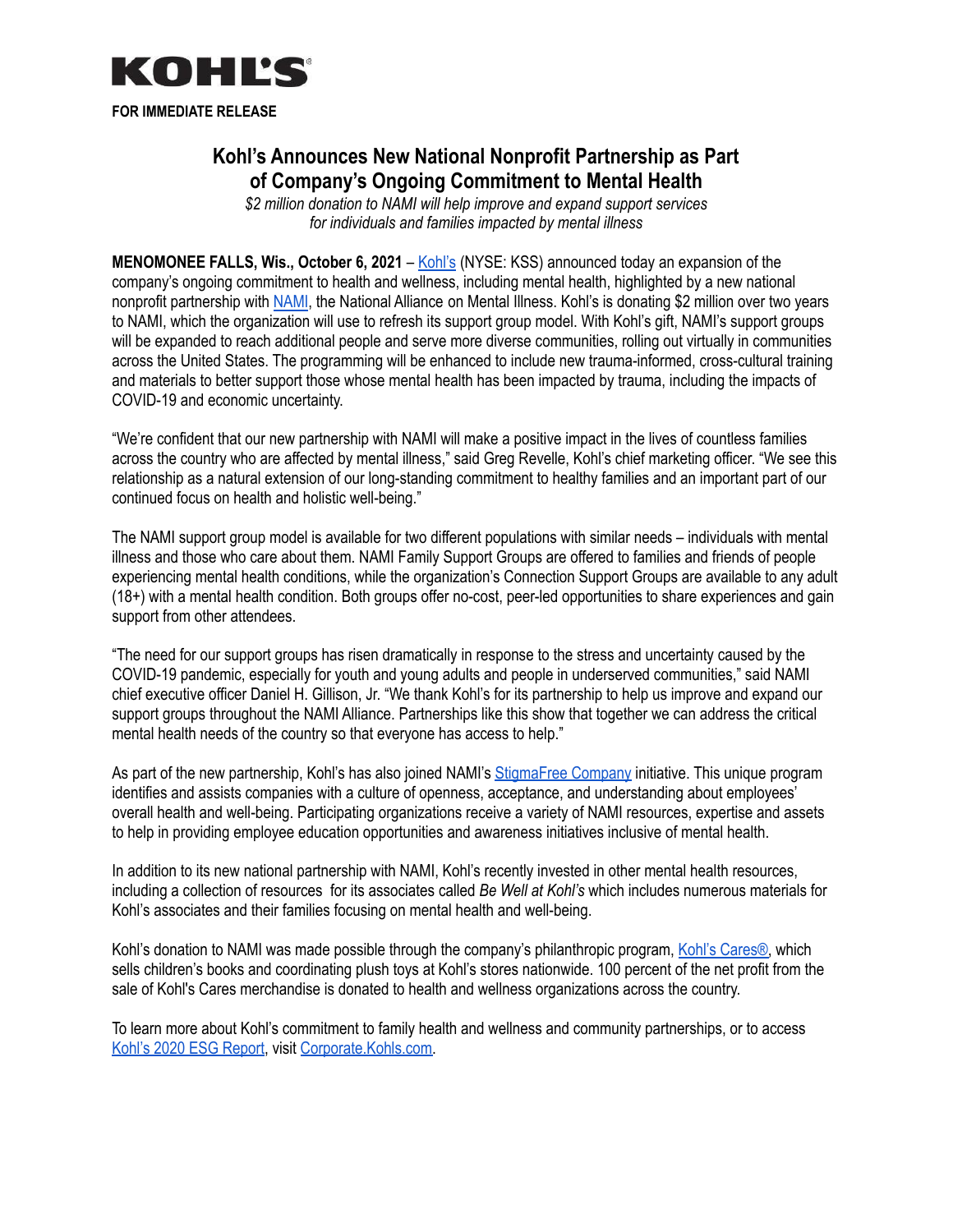

**FOR IMMEDIATE RELEASE**

# **Kohl's Announces New National Nonprofit Partnership as Part of Company's Ongoing Commitment to Mental Health**

*\$2 million donation to NAMI will help improve and expand support services for individuals and families impacted by mental illness*

**MENOMONEE FALLS, Wis., October 6, 2021** – [Kohl's](https://www.kohls.com/) (NYSE: KSS) announced today an expansion of the company's ongoing commitment to health and wellness, including mental health, highlighted by a new national nonprofit partnership with [NAMI](https://www.nami.org/home), the National Alliance on Mental Illness. Kohl's is donating \$2 million over two years to NAMI, which the organization will use to refresh its support group model. With Kohl's gift, NAMI's support groups will be expanded to reach additional people and serve more diverse communities, rolling out virtually in communities across the United States. The programming will be enhanced to include new trauma-informed, cross-cultural training and materials to better support those whose mental health has been impacted by trauma, including the impacts of COVID-19 and economic uncertainty.

"We're confident that our new partnership with NAMI will make a positive impact in the lives of countless families across the country who are affected by mental illness," said Greg Revelle, Kohl's chief marketing officer. "We see this relationship as a natural extension of our long-standing commitment to healthy families and an important part of our continued focus on health and holistic well-being."

The NAMI support group model is available for two different populations with similar needs – individuals with mental illness and those who care about them. NAMI Family Support Groups are offered to families and friends of people experiencing mental health conditions, while the organization's Connection Support Groups are available to any adult (18+) with a mental health condition. Both groups offer no-cost, peer-led opportunities to share experiences and gain support from other attendees.

"The need for our support groups has risen dramatically in response to the stress and uncertainty caused by the COVID-19 pandemic, especially for youth and young adults and people in underserved communities," said NAMI chief executive officer Daniel H. Gillison, Jr. "We thank Kohl's for its partnership to help us improve and expand our support groups throughout the NAMI Alliance. Partnerships like this show that together we can address the critical mental health needs of the country so that everyone has access to help."

As part of the new partnership, Kohl's has also joined NAMI's [StigmaFree](https://www.nami.org/Get-Involved/Pledge-to-Be-StigmaFree/StigmaFree-Company) Company initiative. This unique program identifies and assists companies with a culture of openness, acceptance, and understanding about employees' overall health and well-being. Participating organizations receive a variety of NAMI resources, expertise and assets to help in providing employee education opportunities and awareness initiatives inclusive of mental health.

In addition to its new national partnership with NAMI, Kohl's recently invested in other mental health resources, including a collection of resources for its associates called *Be Well at Kohl's* which includes numerous materials for Kohl's associates and their families focusing on mental health and well-being.

Kohl's donation to NAMI was made possible through the company's philanthropic program, Kohl's [Cares®,](https://www.kohls.com/sale-event/kohl-s-cares.jsp) which sells children's books and coordinating plush toys at Kohl's stores nationwide. 100 percent of the net profit from the sale of Kohl's Cares merchandise is donated to health and wellness organizations across the country.

To learn more about Kohl's commitment to family health and wellness and community partnerships, or to access Kohl's 2020 ESG [Report](https://corporate.kohls.com/news/archive-/2021/april/kohl-s-publishes-2020-environmental--social--and-governance-repo), visit [Corporate.Kohls.com.](https://corporate.kohls.com/corporate-responsibility/overview)